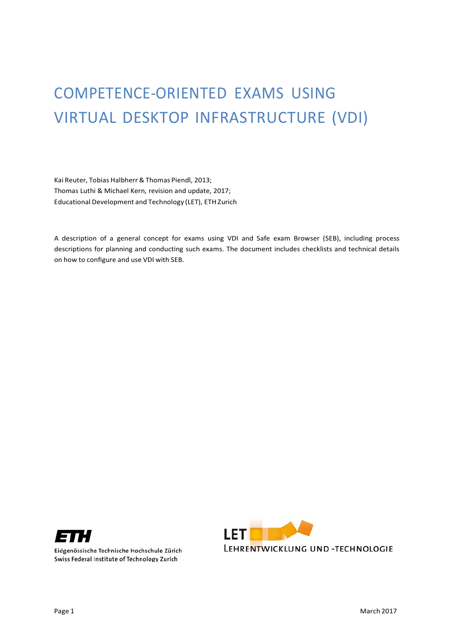# COMPETENCE-ORIENTED EXAMS USING VIRTUAL DESKTOP INFRASTRUCTURE (VDI)

Kai Reuter, Tobias Halbherr& Thomas Piendl, 2013; Thomas Luthi & Michael Kern, revision and update, 2017; Educational Development and Technology (LET), ETH Zurich

A description of a general concept for exams using VDI and Safe exam Browser (SEB), including process descriptions for planning and conducting such exams. The document includes checklists and technical details on how to configure and use VDI with SEB.



Eidgenössische Technische Hochschule Zürich Swiss Federal Institute of Technology Zurich

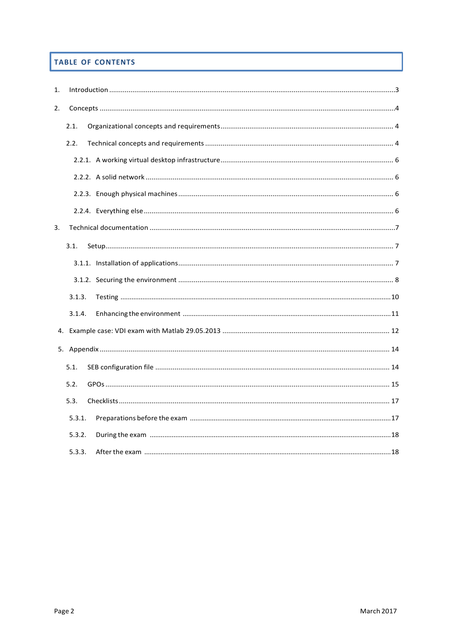# TABLE OF CONTENTS

| 1. |        |  |
|----|--------|--|
| 2. |        |  |
|    | 2.1.   |  |
|    | 2.2.   |  |
|    |        |  |
|    |        |  |
|    |        |  |
|    |        |  |
| 3. |        |  |
|    | 3.1.   |  |
|    |        |  |
|    |        |  |
|    | 3.1.3. |  |
|    | 3.1.4. |  |
|    |        |  |
|    |        |  |
|    | 5.1.   |  |
|    | 5.2.   |  |
|    | 5.3.   |  |
|    | 5.3.1. |  |
|    | 5.3.2. |  |
|    | 5.3.3. |  |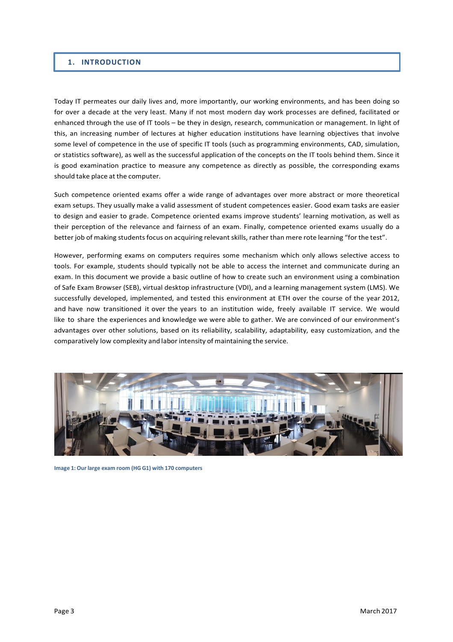#### <span id="page-2-0"></span>**1. INTRODUCTION**

Today IT permeates our daily lives and, more importantly, our working environments, and has been doing so for over a decade at the very least. Many if not most modern day work processes are defined, facilitated or enhanced through the use of IT tools – be they in design, research, communication or management. In light of this, an increasing number of lectures at higher education institutions have learning objectives that involve some level of competence in the use of specific IT tools (such as programming environments, CAD, simulation, or statistics software), as well as the successful application of the concepts on the IT tools behind them. Since it is good examination practice to measure any competence as directly as possible, the corresponding exams should take place at the computer.

Such competence oriented exams offer a wide range of advantages over more abstract or more theoretical exam setups. They usually make a valid assessment of student competences easier. Good exam tasks are easier to design and easier to grade. Competence oriented exams improve students' learning motivation, as well as their perception of the relevance and fairness of an exam. Finally, competence oriented exams usually do a better job of making students focus on acquiring relevant skills, rather than mere rote learning "for the test".

However, performing exams on computers requires some mechanism which only allows selective access to tools. For example, students should typically not be able to access the internet and communicate during an exam. In this document we provide a basic outline of how to create such an environment using a combination of Safe Exam Browser (SEB), virtual desktop infrastructure (VDI), and a learning management system (LMS). We successfully developed, implemented, and tested this environment at ETH over the course of the year 2012, and have now transitioned it over the years to an institution wide, freely available IT service. We would like to share the experiences and knowledge we were able to gather. We are convinced of our environment's advantages over other solutions, based on its reliability, scalability, adaptability, easy customization, and the comparatively low complexity and labor intensity of maintaining the service.



**Image 1: Our large exam room (HG G1) with 170 computers**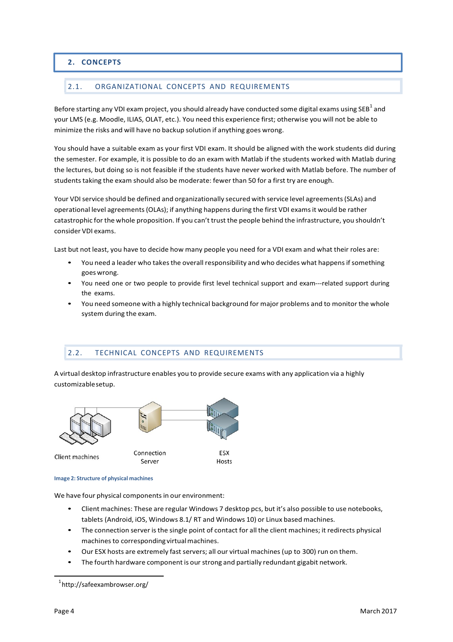# <span id="page-3-0"></span>**2. CONCEPTS**

# <span id="page-3-1"></span>2.1. ORGANIZATIONAL CONCEPTS AND REQUIREMENTS

Before starting any VDI exam project, you should already have conducted some digital exams using SEB $^{\rm 1}$  and your LMS (e.g. Moodle, ILIAS, OLAT, etc.). You need this experience first; otherwise you will not be able to minimize the risks and will have no backup solution if anything goes wrong.

You should have a suitable exam as your first VDI exam. It should be aligned with the work students did during the semester. For example, it is possible to do an exam with Matlab if the students worked with Matlab during the lectures, but doing so is not feasible if the students have never worked with Matlab before. The number of students taking the exam should also be moderate: fewer than 50 for a first try are enough.

Your VDI service should be defined and organizationally secured with service level agreements (SLAs) and operational level agreements(OLAs); if anything happens during the first VDI examsit would be rather catastrophic for the whole proposition. If you can't trust the people behind the infrastructure, you shouldn't consider VDI exams.

Last but not least, you have to decide how many people you need for a VDI exam and what their roles are:

- You need a leader who takes the overall responsibility and who decides what happens if something goeswrong.
- You need one or two people to provide first level technical support and exam---related support during the exams.
- You need someone with a highly technical background for major problems and to monitor the whole system during the exam.

#### <span id="page-3-2"></span>2.2. TECHNICAL CONCEPTS AND REQUIREMENTS

A virtual desktop infrastructure enables you to provide secure exams with any application via a highly customizablesetup.



#### **Image 2: Structure of physical machines**

We have four physical components in our environment:

- Client machines: These are regular Windows 7 desktop pcs, but it's also possible to use notebooks, tablets (Android, iOS, Windows 8.1/ RT and Windows 10) or Linux based machines.
- The connection server is the single point of contact for all the client machines; it redirects physical machines to corresponding virtual machines.
- Our ESX hosts are extremely fast servers; all our virtual machines (up to 300) run on them.
- The fourth hardware component is our strong and partially redundant gigabit network.

<sup>1</sup> http://safeexambrowser.org/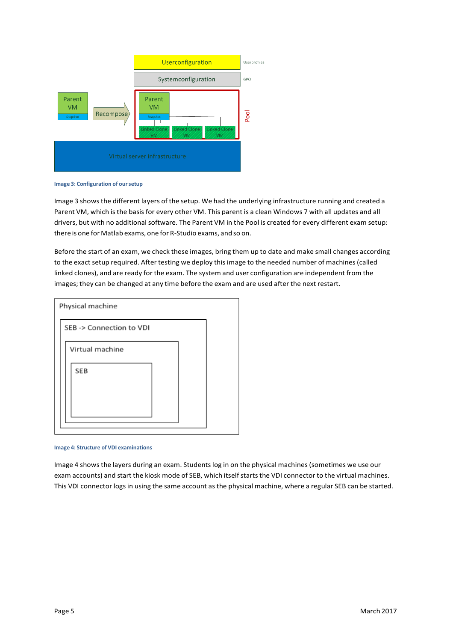

**Image 3: Configuration of oursetup**

Image 3 showsthe different layers of the setup. We had the underlying infrastructure running and created a Parent VM, which is the basis for every other VM. This parent is a clean Windows 7 with all updates and all drivers, but with no additional software. The Parent VM in the Pool is created for every different exam setup: there is one for Matlab exams, one for R-Studio exams, and so on.

Before the start of an exam, we check these images, bring them up to date and make small changes according to the exact setup required. After testing we deploy this image to the needed number of machines (called linked clones), and are ready for the exam. The system and user configuration are independent from the images; they can be changed at any time before the exam and are used after the next restart.



**Image 4: Structure of VDI examinations**

Image 4 showsthe layers during an exam. Studentslog in on the physical machines(sometimes we use our exam accounts) and start the kiosk mode of SEB, which itself starts the VDI connector to the virtual machines. This VDI connector logs in using the same account as the physical machine, where a regular SEB can be started.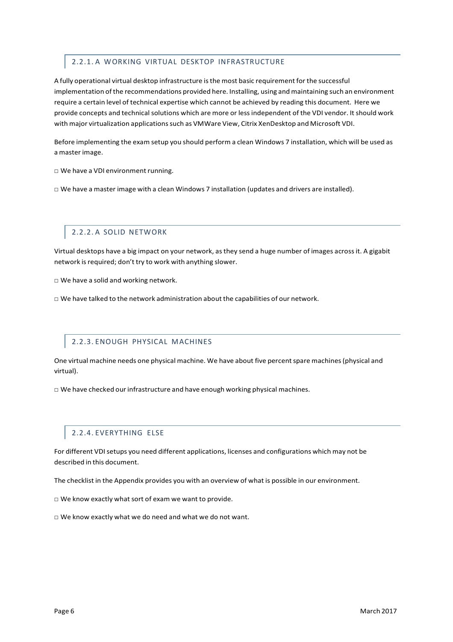# <span id="page-5-0"></span>2.2.1. A WORKING VIRTUAL DESKTOP INFRASTRUCTURE

A fully operational virtual desktop infrastructure isthe most basic requirement for the successful implementation ofthe recommendations provided here. Installing, using and maintaining such an environment require a certain level of technical expertise which cannot be achieved by reading this document. Here we provide concepts and technical solutions which are more or less independent of the VDI vendor. It should work with major virtualization applicationssuch as VMWare View, Citrix XenDesktop and Microsoft VDI.

Before implementing the exam setup you should perform a clean Windows 7 installation, which will be used as a master image.

□ We have a VDI environment running.

 $\square$  We have a master image with a clean Windows 7 installation (updates and drivers are installed).

#### 2.2.2. A SOLID NETWORK

<span id="page-5-1"></span>Virtual desktops have a big impact on your network, as they send a huge number of images acrossit. A gigabit network is required; don't try to work with anything slower.

□ We have a solid and working network.

 $\square$  We have talked to the network administration about the capabilities of our network.

#### 2.2.3. ENOUGH PHYSICAL MACHINES

<span id="page-5-2"></span>One virtual machine needs one physical machine. We have about five percentspare machines(physical and virtual).

 $\Box$  We have checked our infrastructure and have enough working physical machines.

#### 2.2.4. EVERYTHING ELSE

<span id="page-5-3"></span>For different VDI setups you need different applications, licenses and configurations which may not be described in this document.

The checklist in the Appendix provides you with an overview of what is possible in our environment.

□ We know exactly what sort of exam we want to provide.

 $\square$  We know exactly what we do need and what we do not want.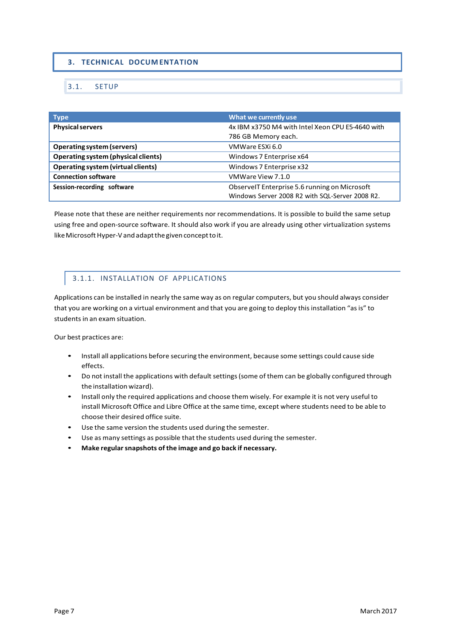# <span id="page-6-0"></span>**3. TECHNICAL DOCUM ENTATION**

#### <span id="page-6-1"></span>3.1. SETUP

| <b>Type</b>                               | What we currently use                            |
|-------------------------------------------|--------------------------------------------------|
| <b>Physical servers</b>                   | 4x IBM x3750 M4 with Intel Xeon CPU E5-4640 with |
|                                           | 786 GB Memory each.                              |
| <b>Operating system (servers)</b>         | VMWare ESXi 6.0                                  |
| Operating system (physical clients)       | Windows 7 Enterprise x64                         |
| <b>Operating system (virtual clients)</b> | Windows 7 Enterprise x32                         |
| <b>Connection software</b>                | VMWare View 7.1.0                                |
| Session-recording software                | ObservelT Enterprise 5.6 running on Microsoft    |
|                                           | Windows Server 2008 R2 with SQL-Server 2008 R2.  |

Please note that these are neither requirements nor recommendations. It is possible to build the same setup using free and open-source software. It should also work if you are already using other virtualization systems like Microsoft Hyper-V and adapt the given concept to it.

# 3.1.1. INSTALLATION OF APPLICATIONS

<span id="page-6-2"></span>Applications can be installed in nearly the same way as on regular computers, but you should always consider that you are working on a virtual environment and that you are going to deploy this installation "as is" to students in an exam situation.

Our best practices are:

- Install all applications before securing the environment, because some settings could cause side effects.
- Do not install the applications with default settings(some of them can be globally configured through the installation wizard).
- Install only the required applications and choose them wisely. For example it is not very useful to install Microsoft Office and Libre Office at the same time, except where students need to be able to choose their desired office suite.
- Use the same version the students used during the semester.
- Use as many settings as possible that the students used during the semester.
- **Make regularsnapshots of the image and go back if necessary.**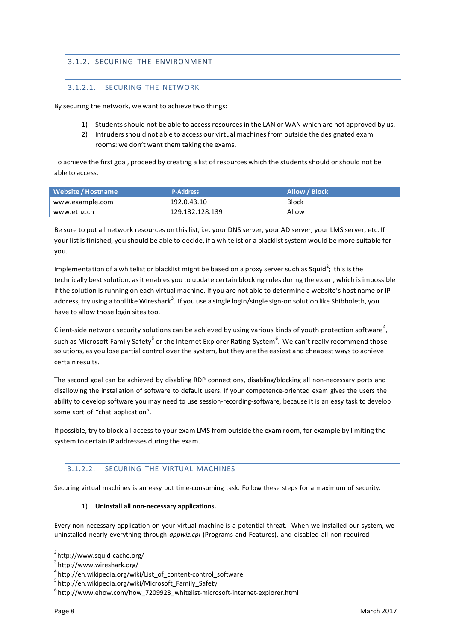# <span id="page-7-0"></span>3.1.2. SECURING THE ENVIRONMENT

# 3.1.2.1. SECURING THE NETWORK

By securing the network, we want to achieve two things:

- 1) Students should not be able to access resourcesin the LAN or WAN which are not approved by us.
- 2) Intruders should not able to access our virtual machines from outside the designated exam rooms: we don't want them taking the exams.

To achieve the first goal, proceed by creating a list of resources which the students should orshould not be able to access.

| Website / Hostname | <b>IP-Address</b> | Allow / Block |
|--------------------|-------------------|---------------|
| www.example.com    | 192.0.43.10       | <b>Block</b>  |
| www.ethz.ch        | 129.132.128.139   | Allow         |

Be sure to put all network resources on this list, i.e. your DNS server, your AD server, your LMS server, etc. If your list is finished, you should be able to decide, if a whitelist or a blacklist system would be more suitable for you.

Implementation of a whitelist or blacklist might be based on a proxy server such as Squid<sup>2</sup>; this is the technically best solution, as it enables you to update certain blocking rules during the exam, which is impossible if the solution isrunning on each virtual machine. If you are not able to determine a website's host name or IP address, try using a tool like Wireshark $^3$ . If you use a single login/single sign-on solution like Shibboleth, you have to allow those login sites too.

Client-side network security solutions can be achieved by using various kinds of youth protection software<sup>4</sup>, such as Microsoft Family Safety<sup>5</sup> or the Internet Explorer Rating-System<sup>6</sup>. We can't really recommend those solutions, as you lose partial control over the system, but they are the easiest and cheapest waysto achieve certain results.

The second goal can be achieved by disabling RDP connections, disabling/blocking all non-necessary ports and disallowing the installation of software to default users. If your competence-oriented exam gives the users the ability to develop software you may need to use session-recording-software, because it is an easy task to develop some sort of "chat application".

If possible, try to block all access to your exam LMS from outside the exam room, for example by limiting the system to certain IP addresses during the exam.

#### 3.1.2.2. SECURING THE VIRTUAL MACHINES

Securing virtual machines is an easy but time-consuming task. Follow these steps for a maximum of security.

1) **Uninstall all non-necessary applications.**

Every non-necessary application on your virtual machine is a potential threat. When we installed our system, we uninstalled nearly everything through *appwiz.cpl* (Programs and Features), and disabled all non-required

 $^{2}$ http://www.squid-cache.org/<br> $^{3}$ http://www.wirechark.org/

 $3$ <http://www.wireshark.org/>

 $4$ [http://en.wikipedia.org/wiki/List\\_of\\_content-c](http://en.wikipedia.org/wiki/List_of_content-)ontrol\_software

[http://en.wikipedia.org/wiki/Microsoft\\_Family\\_Safety](http://en.wikipedia.org/wiki/Microsoft_Family_Safety)

 $^6$ [http://www.ehow.com/how\\_7209928\\_whitelist-m](http://www.ehow.com/how_7209928_whitelist-)icrosoft-internet-explorer.html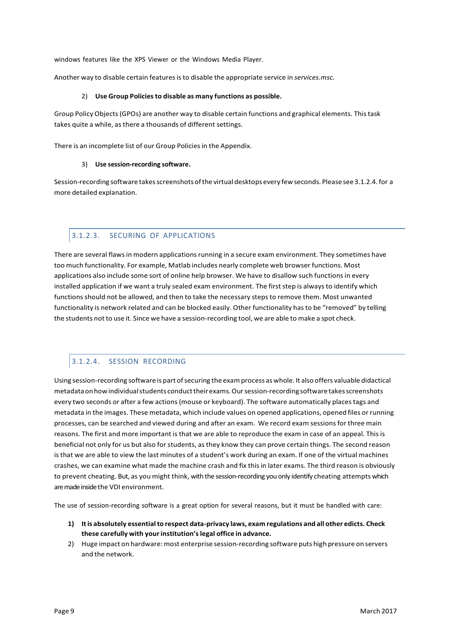windows features like the XPS Viewer or the Windows Media Player.

Another way to disable certain features is to disable the appropriate service in *services.msc.* 

#### 2) **Use Group Policiesto disable as many functions as possible.**

Group Policy Objects(GPOs) are another way to disable certain functions and graphical elements. Thistask takes quite a while, as there a thousands of different settings.

There is an incomplete list of our Group Policies in the Appendix.

#### 3) **Use session-recording software.**

Session-recording software takesscreenshots ofthe virtual desktops every fewseconds. Please see 3.1.2.4.for a more detailed explanation.

#### 3.1.2.3. SECURING OF APPLICATIONS

There are several flaws in modern applications running in a secure exam environment. They sometimes have too much functionality. For example, Matlab includes nearly complete web browser functions. Most applications also include some sort of online help browser. We have to disallow such functions in every installed application if we want a truly sealed exam environment. The first step is always to identify which functions should not be allowed, and then to take the necessary steps to remove them. Most unwanted functionality is network related and can be blocked easily. Other functionality hasto be "removed" by telling the students not to use it. Since we have a session-recording tool, we are able to make a spot check.

# 3.1.2.4. SESSION RECORDING

Using session-recording software is part of securing the exam process as whole. It also offers valuable didactical metadataonhowindividualstudents conducttheirexams.Oursession-recording software takesscreenshots every two seconds or after a few actions(mouse or keyboard). The software automatically placestags and metadata in the images. These metadata, which include values on opened applications, opened files or running processes, can be searched and viewed during and after an exam. We record exam sessionsfor three main reasons. The first and more important is that we are able to reproduce the exam in case of an appeal. This is beneficial not only for us but also forstudents, asthey know they can prove certain things. The second reason isthat we are able to view the last minutes of a student's work during an exam. If one of the virtual machines crashes, we can examine what made the machine crash and fix thisin later exams. The third reason is obviously to prevent cheating. But, as you might think, with the session-recording you only identify cheating attempts which are made inside the VDI environment.

The use of session-recording software is a great option for several reasons, but it must be handled with care:

- **1) Itis absolutely essentialto respect data-privacy laws, exam regulations and all other edicts. Check these carefully with yourinstitution'slegal office in advance.**
- 2) Huge impact on hardware: most enterprise session-recording software puts high pressure on servers and the network.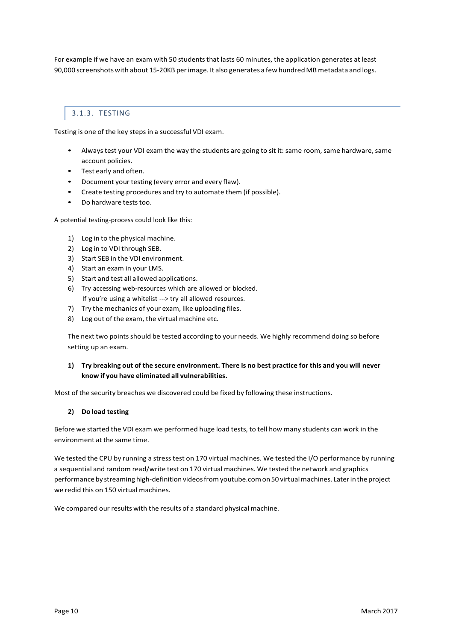For example if we have an exam with 50 students that lasts 60 minutes, the application generates at least 90,000 screenshotswith about 15-20KB perimage. It also generates a few hundredMBmetadata and logs.

# 3.1.3. TESTING

<span id="page-9-0"></span>Testing is one of the key steps in a successful VDI exam.

- Alwaystest your VDI exam the way the students are going to sit it: same room, same hardware, same account policies.
- Test early and often.
- Document your testing (every error and every flaw).
- Create testing procedures and try to automate them (if possible).
- Do hardware tests too.

A potential testing-process could look like this:

- 1) Log in to the physical machine.
- 2) Log in to VDI through SEB.
- 3) Start SEB in the VDI environment.
- 4) Start an exam in your LMS.
- 5) Start and test all allowed applications.
- 6) Try accessing web-resources which are allowed or blocked. If you're using a whitelist ---> try all allowed resources.
- 7) Try the mechanics of your exam, like uploading files.
- 8) Log out of the exam, the virtual machine etc.

The next two points should be tested according to your needs. We highly recommend doing so before setting up an exam.

#### 1) Try breaking out of the secure environment. There is no best practice for this and you will never **know if you have eliminated all vulnerabilities.**

Most of the security breaches we discovered could be fixed by following these instructions.

#### **2) Do load testing**

Before we started the VDI exam we performed huge load tests, to tell how many students can work in the environment at the same time.

We tested the CPU by running a stress test on 170 virtual machines. We tested the I/O performance by running a sequential and random read/write test on 170 virtual machines. We tested the network and graphics performance by streaming high-definition videos from youtube.com on 50 virtual machines. Later in the project we redid this on 150 virtual machines.

We compared our results with the results of a standard physical machine.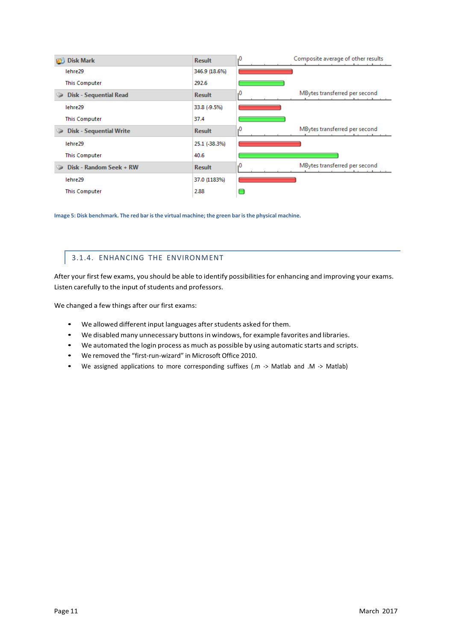| <b>Disk Mark</b>               | <b>Result</b> | Composite average of other results<br>,0 |
|--------------------------------|---------------|------------------------------------------|
| lehre29                        | 346.9 (18.6%) |                                          |
| <b>This Computer</b>           | 292.6         |                                          |
| <b>Disk - Sequential Read</b>  | <b>Result</b> | MBytes transferred per second<br>۰0      |
| lehre29                        | 33.8 (-9.5%)  |                                          |
| <b>This Computer</b>           | 37.4          |                                          |
| <b>Disk - Sequential Write</b> | <b>Result</b> | MBytes transferred per second<br>۰0      |
| lehre29                        | 25.1 (-38.3%) |                                          |
| <b>This Computer</b>           | 40.6          |                                          |
| Disk - Random Seek + RW        | <b>Result</b> | MBytes transferred per second<br>۰0      |
| lehre29                        | 37.0 (1183%)  |                                          |
| <b>This Computer</b>           | 2.88          |                                          |

**Image 5: Disk benchmark. The red bar isthe virtual machine; the green bar isthe physical machine.**

# 3.1.4. ENHANCING THE ENVIRONMENT

<span id="page-10-0"></span>After your first few exams, you should be able to identify possibilities for enhancing and improving your exams. Listen carefully to the input of students and professors.

We changed a few things after our first exams:

- We allowed different input languages afterstudents asked for them.
- We disabled many unnecessary buttonsin windows, for example favorites and libraries.
- We automated the login process as much as possible by using automatic starts and scripts.
- We removed the "first-run-wizard" in Microsoft Office 2010.
- We assigned applications to more corresponding suffixes (.m -> Matlab and .M -> Matlab)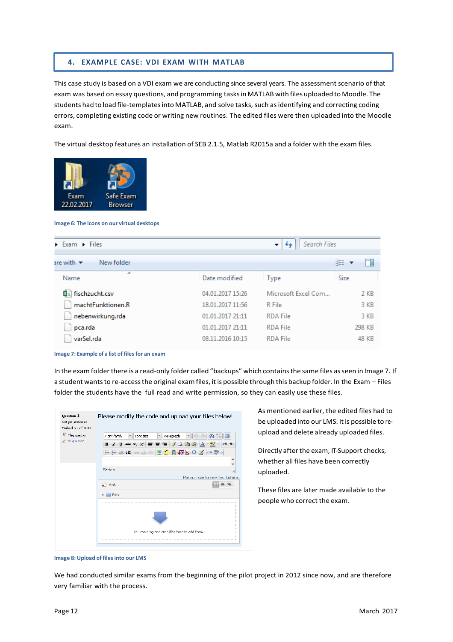#### <span id="page-11-0"></span>**4. EXAMPLE CASE: VDI EXAM WITH MATLAB**

This case study is based on a VDI exam we are conducting since several years. The assessment scenario of that exam was based on essay questions, and programming tasksinMATLAB with files uploaded to Moodle. The students had to load file-templatesinto MATLAB, and solve tasks, such asidentifying and correcting coding errors, completing existing code or writing new routines. The edited files were then uploaded into the Moodle exam.

The virtual desktop features an installation of SEB 2.1.5, Matlab R2015a and a folder with the exam files.



**Image 6: The icons on our virtual desktops**

| Exam Eiles<br>▼                             |                  | Search Files        |        |
|---------------------------------------------|------------------|---------------------|--------|
| New folder<br>are with $\blacktriangledown$ |                  |                     | 睚      |
| ▴<br>Name                                   | Date modified    | <b>Type</b>         | Size   |
| 因。fischzucht.csv                            | 04.01.2017 15:26 | Microsoft Excel Com | 2 KB   |
| machtFunktionen.R                           | 18.01.2017 11:56 | R File              | 3 KB   |
| nebenwirkung.rda                            | 01.01.2017 21:11 | <b>RDA File</b>     | 3 KB   |
| pca.rda                                     | 01.01.2017 21:11 | <b>RDA File</b>     | 298 KB |
| varSel.rda                                  | 08.11.2016 10:15 | <b>RDA File</b>     | 48 KB  |

**Image 7: Example of a list of files for an exam** 

In the exam folder there is a read-only folder called "backups" which contains the same files as seen in Image 7. If a student wantsto re-accessthe original exam files, it is possible through this backup folder. In the Exam – Files folder the students have the full read and write permission, so they can easily use these files.



As mentioned earlier, the edited files had to be uploaded into our LMS. It is possible to reupload and delete already uploaded files.

Directly after the exam, IT-Support checks, whether all files have been correctly uploaded.

These files are later made available to the people who correct the exam.

We had conducted similar exams from the beginning of the pilot project in 2012 since now, and are therefore very familiar with the process.

**Image 8: Upload of filesinto our LMS**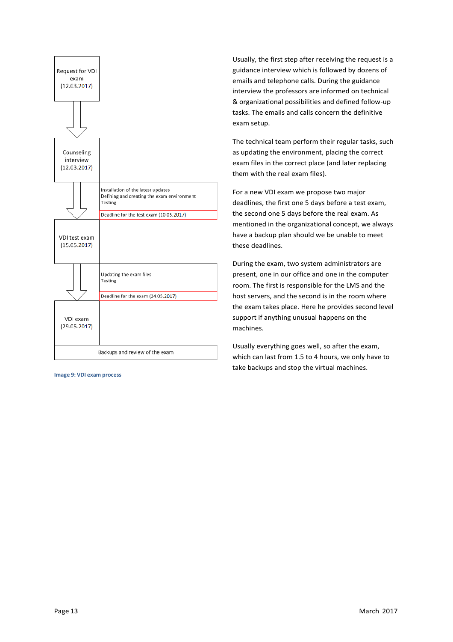

**Image 9: VDI exam process**

Usually, the first step after receiving the request is a guidance interview which is followed by dozens of emails and telephone calls. During the guidance interview the professors are informed on technical & organizational possibilities and defined follow-up tasks. The emails and calls concern the definitive exam setup.

The technical team perform their regular tasks, such as updating the environment, placing the correct exam files in the correct place (and later replacing them with the real exam files).

For a new VDI exam we propose two major deadlines, the first one 5 days before a test exam, the second one 5 days before the real exam. As mentioned in the organizational concept, we always have a backup plan should we be unable to meet these deadlines.

During the exam, two system administrators are present, one in our office and one in the computer room. The first is responsible for the LMS and the host servers, and the second is in the room where the exam takes place. Here he provides second level support if anything unusual happens on the machines.

Usually everything goes well, so after the exam, which can last from 1.5 to 4 hours, we only have to take backups and stop the virtual machines.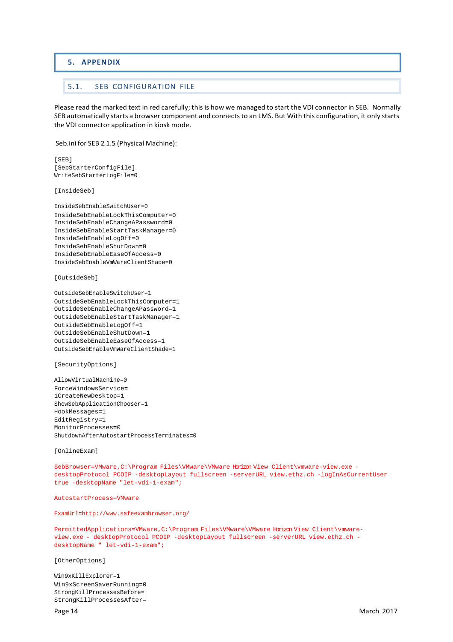#### <span id="page-13-0"></span>**5. APPENDIX**

#### <span id="page-13-1"></span>5.1. SEB CONFIGURATION FILE

Please read the marked text in red carefully; this is how we managed to start the VDI connector in SEB. Normally SEB automatically starts a browser component and connectsto an LMS. But With this configuration, it only starts the VDI connector application in kiosk mode.

Seb.ini for SEB 2.1.5 (Physical Machine):

```
[SEB]
[SebStarterConfigFile]
WriteSebStarterLogFile=0
```
[InsideSeb]

InsideSebEnableSwitchUser=0 InsideSebEnableLockThisComputer=0 InsideSebEnableChangeAPassword=0 InsideSebEnableStartTaskManager=0 InsideSebEnableLogOff=0 InsideSebEnableShutDown=0 InsideSebEnableEaseOfAccess=0 InsideSebEnableVmWareClientShade=0

[OutsideSeb]

```
OutsideSebEnableSwitchUser=1
OutsideSebEnableLockThisComputer=1
OutsideSebEnableChangeAPassword=1
OutsideSebEnableStartTaskManager=1
OutsideSebEnableLogOff=1
OutsideSebEnableShutDown=1
OutsideSebEnableEaseOfAccess=1
OutsideSebEnableVmWareClientShade=1
```
[SecurityOptions]

AllowVirtualMachine=0 ForceWindowsService= 1CreateNewDesktop=1 ShowSebApplicationChooser=1 HookMessages=1 EditRegistry=1 MonitorProcesses=0 ShutdownAfterAutostartProcessTerminates=0

[OnlineExam]

SebBrowser=VMware,C:\Program Files\VMware\VMware Horizon View Client\vmware-view.exe desktopProtocol PCOIP -desktopLayout fullscreen -serverURL view.ethz.ch -logInAsCurrentUser true -desktopName "let-vdi-1-exam";

AutostartProcess=VMwar[e](http://www.safeexambrowser.org/)

[ExamUrl=http://www.safeexambrowser.org/](http://www.safeexambrowser.org/)

PermittedApplications=VMware,C:\Program Files\VMware\VMware Horizon View Client\vmwareview.exe - desktopProtocol PCOIP -desktopLayout fullscreen -serverURL view.ethz.ch desktopName " let-vdi-1-exam";

[OtherOptions]

Win9xKillExplorer=1 Win9xScreenSaverRunning=0 StrongKillProcessesBefore= StrongKillProcessesAfter=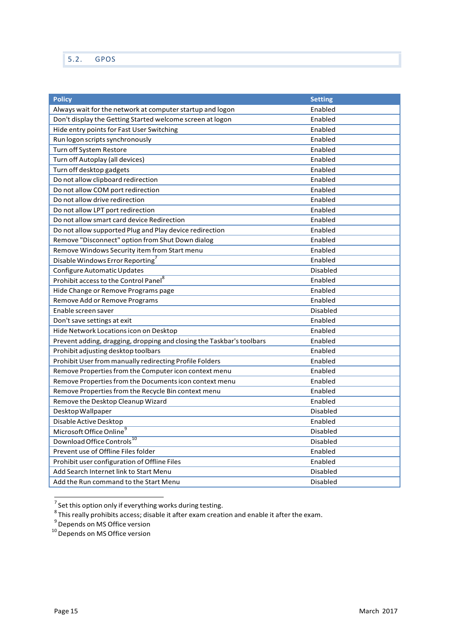<span id="page-14-0"></span>

| <b>Policy</b>                                                         | <b>Setting</b>  |
|-----------------------------------------------------------------------|-----------------|
| Always wait for the network at computer startup and logon             | Enabled         |
| Don't display the Getting Started welcome screen at logon             | Enabled         |
| Hide entry points for Fast User Switching                             | Enabled         |
| Run logon scripts synchronously                                       | Enabled         |
| Turn off System Restore                                               | Enabled         |
| Turn off Autoplay (all devices)                                       | Enabled         |
| Turn off desktop gadgets                                              | Enabled         |
| Do not allow clipboard redirection                                    | Enabled         |
| Do not allow COM port redirection                                     | Enabled         |
| Do not allow drive redirection                                        | Enabled         |
| Do not allow LPT port redirection                                     | Enabled         |
| Do not allow smart card device Redirection                            | Enabled         |
| Do not allow supported Plug and Play device redirection               | Enabled         |
| Remove "Disconnect" option from Shut Down dialog                      | Enabled         |
| Remove Windows Security item from Start menu                          | Enabled         |
| Disable Windows Error Reporting <sup>7</sup>                          | Enabled         |
| Configure Automatic Updates                                           | Disabled        |
| Prohibit access to the Control Panel <sup>8</sup>                     | Enabled         |
| Hide Change or Remove Programs page                                   | Enabled         |
| Remove Add or Remove Programs                                         | Enabled         |
| Enable screen saver                                                   | Disabled        |
| Don't save settings at exit                                           | Enabled         |
| Hide Network Locations icon on Desktop                                | Enabled         |
| Prevent adding, dragging, dropping and closing the Taskbar's toolbars | Enabled         |
| Prohibit adjusting desktop toolbars                                   | Enabled         |
| Prohibit User from manually redirecting Profile Folders               | Enabled         |
| Remove Properties from the Computer icon context menu                 | Enabled         |
| Remove Properties from the Documents icon context menu                | Enabled         |
| Remove Properties from the Recycle Bin context menu                   | Enabled         |
| Remove the Desktop Cleanup Wizard                                     | Enabled         |
| Desktop Wallpaper                                                     | <b>Disabled</b> |
| Disable Active Desktop                                                | Enabled         |
| Microsoft Office Online                                               | <b>Disabled</b> |
| Download Office Controls <sup>10</sup>                                | Disabled        |
| Prevent use of Offline Files folder                                   | Enabled         |
| Prohibit user configuration of Offline Files                          | Enabled         |
| Add Search Internet link to Start Menu                                | Disabled        |
| Add the Run command to the Start Menu                                 | <b>Disabled</b> |

<sup>&</sup>lt;sup>7</sup> Set this option only if everything works during testing.<br><sup>8</sup> This really prohibits access; disable it after exam creation and enable it after the exam.<br><sup>9</sup> Depends on MS Office version<br><sup>10</sup> Depends on MS Office versio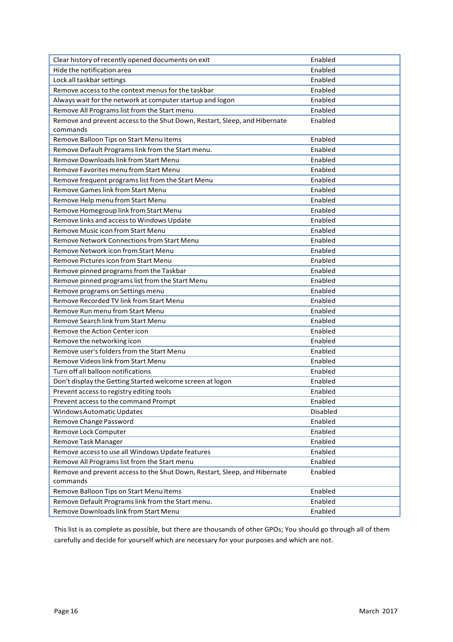| Clear history of recently opened documents on exit                        | Enabled  |
|---------------------------------------------------------------------------|----------|
| Hide the notification area                                                | Enabled  |
| Lock all taskbar settings                                                 | Enabled  |
| Remove access to the context menus for the taskbar                        | Enabled  |
| Always wait for the network at computer startup and logon                 | Enabled  |
| Remove All Programs list from the Start menu                              | Enabled  |
| Remove and prevent access to the Shut Down, Restart, Sleep, and Hibernate | Enabled  |
| commands                                                                  |          |
| Remove Balloon Tips on Start Menu Items                                   | Enabled  |
| Remove Default Programs link from the Start menu.                         | Enabled  |
| Remove Downloads link from Start Menu                                     | Enabled  |
| Remove Favorites menu from Start Menu                                     | Enabled  |
| Remove frequent programs list from the Start Menu                         | Enabled  |
| Remove Games link from Start Menu                                         | Enabled  |
| Remove Help menu from Start Menu                                          | Enabled  |
| Remove Homegroup link from Start Menu                                     | Enabled  |
| Remove links and access to Windows Update                                 | Enabled  |
| Remove Music icon from Start Menu                                         | Enabled  |
| <b>Remove Network Connections from Start Menu</b>                         | Enabled  |
| Remove Network icon from Start Menu                                       | Enabled  |
| Remove Pictures icon from Start Menu                                      | Enabled  |
| Remove pinned programs from the Taskbar                                   | Enabled  |
| Remove pinned programs list from the Start Menu                           | Enabled  |
| Remove programs on Settings menu                                          | Enabled  |
| Remove Recorded TV link from Start Menu                                   | Enabled  |
| Remove Run menu from Start Menu                                           | Enabled  |
| Remove Search link from Start Menu                                        | Enabled  |
| Remove the Action Center icon                                             | Enabled  |
| Remove the networking icon                                                | Enabled  |
| Remove user's folders from the Start Menu                                 | Enabled  |
| Remove Videos link from Start Menu                                        | Enabled  |
| Turn off all balloon notifications                                        | Enabled  |
| Don't display the Getting Started welcome screen at logon                 | Enabled  |
| Prevent access to registry editing tools                                  | Enabled  |
| Prevent access to the command Prompt                                      | Enabled  |
| Windows Automatic Updates                                                 | Disabled |
| Remove Change Password                                                    | Enabled  |
| Remove Lock Computer                                                      | Enabled  |
| Remove Task Manager                                                       | Enabled  |
| Remove access to use all Windows Update features                          | Enabled  |
| Remove All Programs list from the Start menu                              | Enabled  |
| Remove and prevent access to the Shut Down, Restart, Sleep, and Hibernate | Enabled  |
| commands                                                                  |          |
| Remove Balloon Tips on Start Menu Items                                   | Enabled  |
| Remove Default Programs link from the Start menu.                         | Enabled  |
| Remove Downloads link from Start Menu                                     | Enabled  |

This list is as complete as possible, but there are thousands of other GPOs; You should go through all of them carefully and decide for yourself which are necessary for your purposes and which are not.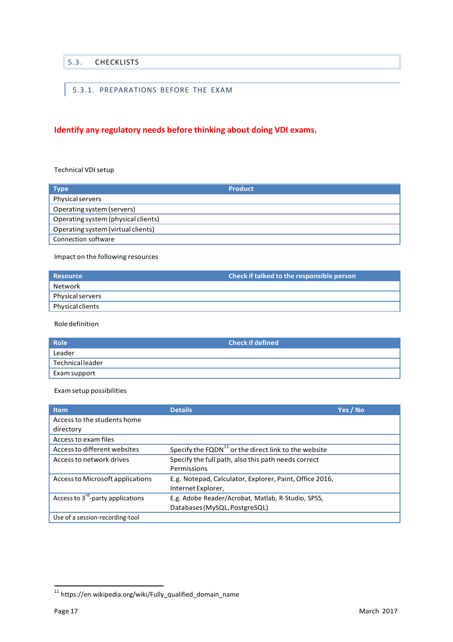### <span id="page-16-0"></span>5.3. CHECKLISTS

# <span id="page-16-1"></span>5.3.1. PREPARATIONS BEFORE THE EXAM

# **Identify any regulatory needs before thinking about doing VDI exams.**

#### Technical VDI setup

| <b>Type</b>                         | <b>Product</b> |
|-------------------------------------|----------------|
| Physical servers                    |                |
| Operating system (servers)          |                |
| Operating system (physical clients) |                |
| Operating system (virtual clients)  |                |
| Connection software                 |                |

Impact on the following resources

| <b>Resource</b>  | <b>Check if talked to the responsible person</b> |
|------------------|--------------------------------------------------|
| ' Network        |                                                  |
| Physical servers |                                                  |
| Physical clients |                                                  |

Roledefinition

| Role <sup>1</sup> | <b>Check if defined</b> |
|-------------------|-------------------------|
| Leader            |                         |
| Technicalleader   |                         |
| Exam support      |                         |

#### Examsetup possibilities

| <b>Item</b>                         | <b>Details</b>                                                     | Yes / No |
|-------------------------------------|--------------------------------------------------------------------|----------|
| Access to the students home         |                                                                    |          |
| directory                           |                                                                    |          |
| Access to exam files                |                                                                    |          |
| Access to different websites        | Specify the $FQDN$ <sup>11</sup> or the direct link to the website |          |
| Access to network drives            | Specify the full path, also this path needs correct                |          |
|                                     | Permissions                                                        |          |
| Access to Microsoft applications    | E.g. Notepad, Calculator, Explorer, Paint, Office 2016,            |          |
|                                     | Internet Explorer,                                                 |          |
| Access to $3rd$ -party applications | E.g. Adobe Reader/Acrobat, Matlab, R-Studio, SPSS,                 |          |
|                                     | Databases (MySQL, PostgreSQL)                                      |          |
| Use of a session-recording-tool     |                                                                    |          |

<sup>11</sup> https://en.wikipedia.org/wiki/Fully\_qualified\_domain\_name